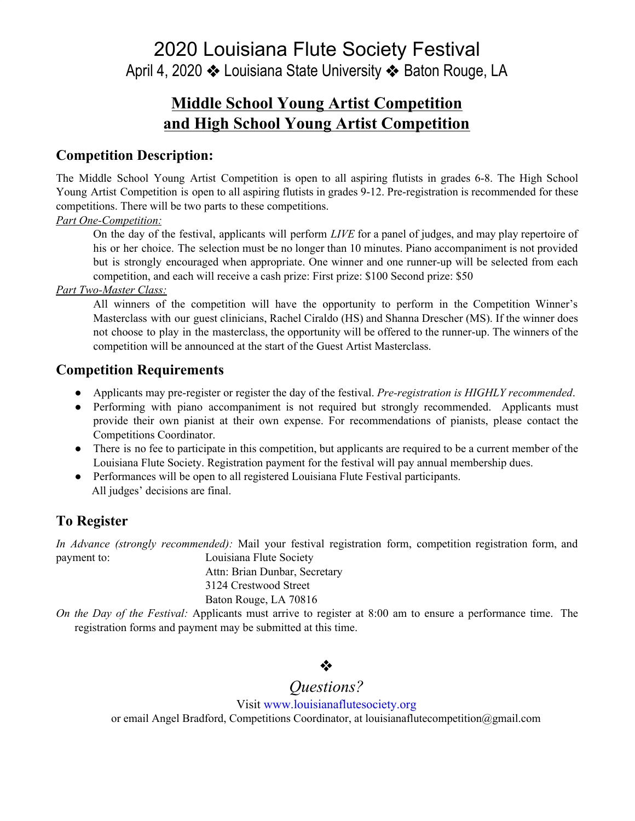2020 Louisiana Flute Society Festival April 4, 2020 ❖ Louisiana State University ❖ Baton Rouge, LA

## **Middle School Young Artist Competition and High School Young Artist Competition**

### **Competition Description:**

The Middle School Young Artist Competition is open to all aspiring flutists in grades 6-8. The High School Young Artist Competition is open to all aspiring flutists in grades 9-12. Pre-registration is recommended for these competitions. There will be two parts to these competitions.

#### *Part One-Competition:*

On the day of the festival, applicants will perform *LIVE* for a panel of judges, and may play repertoire of his or her choice. The selection must be no longer than 10 minutes. Piano accompaniment is not provided but is strongly encouraged when appropriate. One winner and one runner-up will be selected from each competition, and each will receive a cash prize: First prize: \$100 Second prize: \$50

#### *Part Two-Master Class:*

All winners of the competition will have the opportunity to perform in the Competition Winner's Masterclass with our guest clinicians, Rachel Ciraldo (HS) and Shanna Drescher (MS). If the winner does not choose to play in the masterclass, the opportunity will be offered to the runner-up. The winners of the competition will be announced at the start of the Guest Artist Masterclass.

## **Competition Requirements**

- Applicants may pre-register or register the day of the festival. *Pre-registration is HIGHLY recommended*.
- Performing with piano accompaniment is not required but strongly recommended. Applicants must provide their own pianist at their own expense. For recommendations of pianists, please contact the Competitions Coordinator.
- There is no fee to participate in this competition, but applicants are required to be a current member of the Louisiana Flute Society. Registration payment for the festival will pay annual membership dues.
- Performances will be open to all registered Louisiana Flute Festival participants. All judges' decisions are final.

## **To Register**

*In Advance (strongly recommended):* Mail your festival registration form, competition registration form, and payment to: Louisiana Flute Society Attn: Brian Dunbar, Secretary

3124 Crestwood Street

#### Baton Rouge, LA 70816

*On the Day of the Festival:* Applicants must arrive to register at 8:00 am to ensure a performance time. The registration forms and payment may be submitted at this time.

## ❖

# *Questions?*

Visit [www.louisianaflutesociety.org](http://www.louisianaflutesociety.org/) or email Angel Bradford, Competitions Coordinator, at louisianaflutecompetition@gmail.com